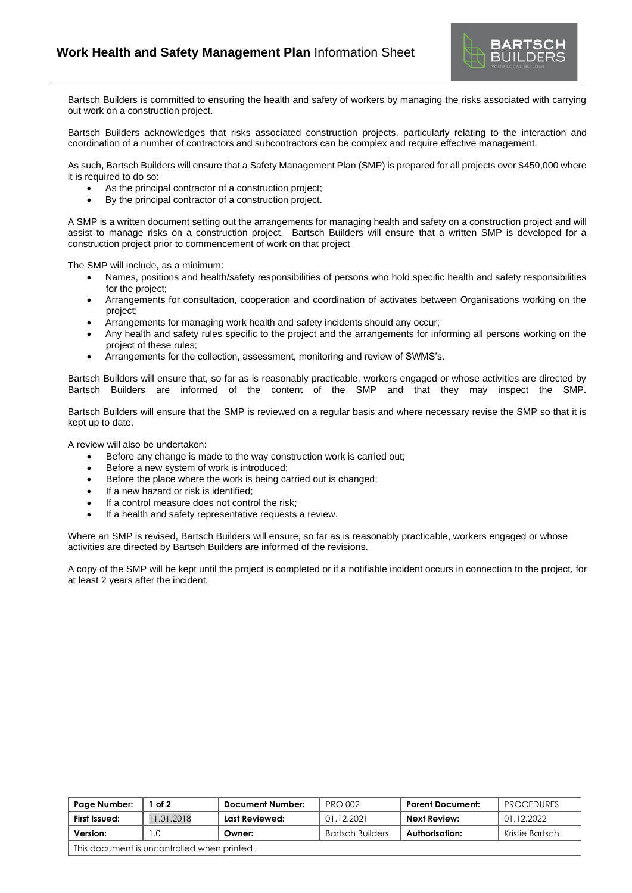

Bartsch Builders is committed to ensuring the health and safety of workers by managing the risks associated with carrying out work on a construction project.

Bartsch Builders acknowledges that risks associated construction projects, particularly relating to the interaction and coordination of a number of contractors and subcontractors can be complex and require effective management.

As such, Bartsch Builders will ensure that a Safety Management Plan (SMP) is prepared for all projects over \$450,000 where it is required to do so:

- As the principal contractor of a construction project;
- By the principal contractor of a construction project.

A SMP is a written document setting out the arrangements for managing health and safety on a construction project and will assist to manage risks on a construction project. Bartsch Builders will ensure that a written SMP is developed for a construction project prior to commencement of work on that project

The SMP will include, as a minimum:

- Names, positions and health/safety responsibilities of persons who hold specific health and safety responsibilities for the project;
- Arrangements for consultation, cooperation and coordination of activates between Organisations working on the project;
- Arrangements for managing work health and safety incidents should any occur;
- Any health and safety rules specific to the project and the arrangements for informing all persons working on the project of these rules;
- Arrangements for the collection, assessment, monitoring and review of SWMS's.

Bartsch Builders will ensure that, so far as is reasonably practicable, workers engaged or whose activities are directed by Bartsch Builders are informed of the content of the SMP and that they may inspect the SMP.

Bartsch Builders will ensure that the SMP is reviewed on a regular basis and where necessary revise the SMP so that it is kept up to date.

A review will also be undertaken:

- Before any change is made to the way construction work is carried out;
- Before a new system of work is introduced;
- Before the place where the work is being carried out is changed;
- If a new hazard or risk is identified;
- If a control measure does not control the risk;
- If a health and safety representative requests a review.

Where an SMP is revised, Bartsch Builders will ensure, so far as is reasonably practicable, workers engaged or whose activities are directed by Bartsch Builders are informed of the revisions.

A copy of the SMP will be kept until the project is completed or if a notifiable incident occurs in connection to the project, for at least 2 years after the incident.

| Page Number:                                | of 2       | Document Number: | <b>PRO 002</b>          | <b>Parent Document:</b> | <b>PROCEDURES</b> |  |  |  |
|---------------------------------------------|------------|------------------|-------------------------|-------------------------|-------------------|--|--|--|
| First Issued:                               | 11.01.2018 | Last Reviewed:   | 01.12.2021              | <b>Next Review:</b>     | 01.12.2022        |  |  |  |
| Version:                                    |            | Owner:           | <b>Bartsch Builders</b> | Authorisation:          | Kristie Bartsch   |  |  |  |
| This document is uncontrolled when printed. |            |                  |                         |                         |                   |  |  |  |